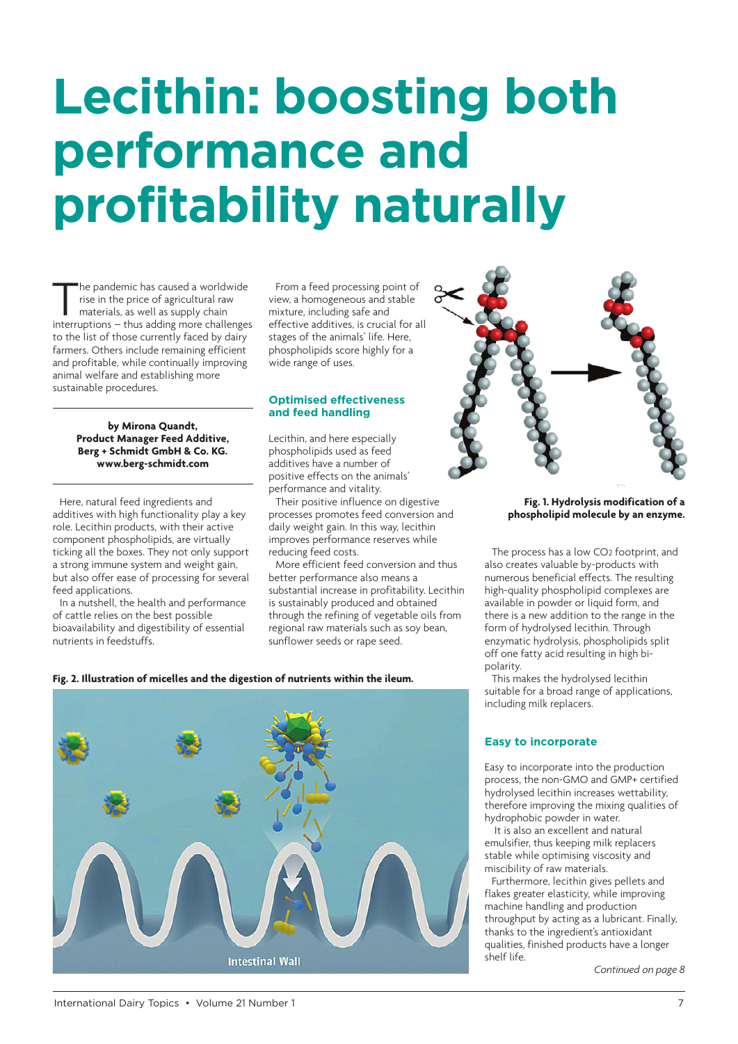# **Lecithin: boosting both performance and profitability naturally**

he pandemic has caused a worldwide rise in the price of agricultural raw materials, as well as supply chain interruptions – thus adding more challenges to the list of those currently faced by dairy farmers. Others include remaining efficient and profitable, while continually improving animal welfare and establishing more sustainable procedures.

> **by Mirona Quandt, Product Manager Feed Additive, Berg + Schmidt GmbH & Co. KG. www.berg-schmidt.com**

Here, natural feed ingredients and additives with high functionality play a key role. Leci[thin products, with their a](http://www.berg-schmidt.com)ctive component phospholipids, are virtually ticking all the boxes. They not only support a strong immune system and weight gain, but also offer ease of processing for several feed applications.

In a nutshell, the health and performance of cattle relies on the best possible bioavailability and digestibility of essential nutrients in feedstuffs.

From a feed processing point of view, a homogeneous and stable mixture, including safe and effective additives, is crucial for all stages of the animals' life. Here, phospholipids score highly for a wide range of uses.

#### **Optimised effectiveness and feed handling**

Lecithin, and here especially phospholipids used as feed additives have a number of positive effects on the animals' performance and vitality.

Their positive influence on digestive processes promotes feed conversion and daily weight gain. In this way, lecithin improves performance reserves while reducing feed costs.

More efficient feed conversion and thus better performance also means a substantial increase in profitability. Lecithin is sustainably produced and obtained through the refining of vegetable oils from regional raw materials such as soy bean, sunflower seeds or rape seed.



#### **Fig. 1. Hydrolysis modification of a phospholipid molecule by an enzyme.**

The process has a low CO2 footprint, and also creates valuable by-products with numerous beneficial effects. The resulting high-quality phospholipid complexes are available in powder or liquid form, and there is a new addition to the range in the form of hydrolysed lecithin. Through enzymatic hydrolysis, phospholipids split off one fatty acid resulting in high bipolarity.

This makes the hydrolysed lecithin suitable for a broad range of applications, including milk replacers.

### **Easy to incorporate**

Easy to incorporate into the production process, the non-GMO and GMP+ certified hydrolysed lecithin increases wettability, therefore improving the mixing qualities of hydrophobic powder in water.

 It is also an excellent and natural emulsifier, thus keeping milk replacers stable while optimising viscosity and miscibility of raw materials.

Furthermore, lecithin gives pellets and flakes greater elasticity, while improving machine handling and production throughput by acting as a lubricant. Finally, thanks to the ingredient's antioxidant qualities, finished products have a longer shelf life.

*Continued on page 8*

**Fig. 2. Illustration of micelles and the digestion of nutrients within the ileum.**